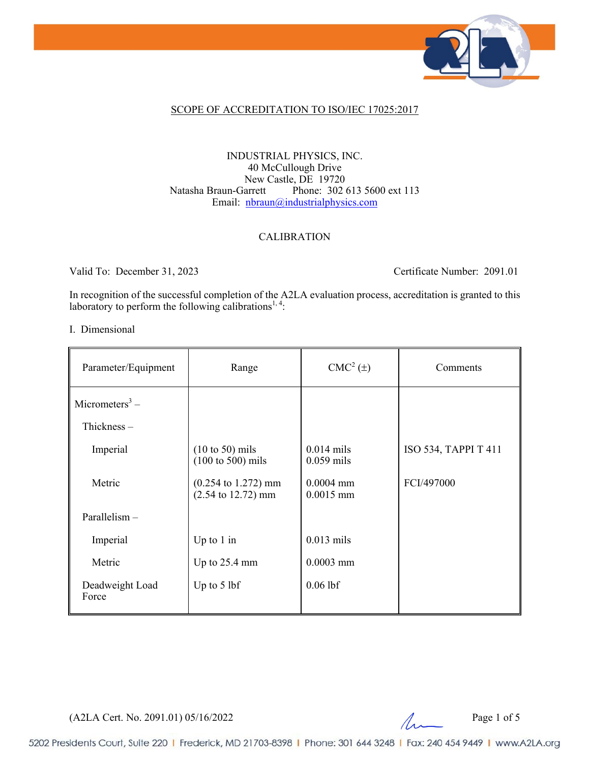

## SCOPE OF ACCREDITATION TO ISO/IEC 17025:2017

## INDUSTRIAL PHYSICS, INC. 40 McCullough Drive New Castle, DE 19720<br>Natasha Braun-Garrett Phone: 302 Phone: 302 613 5600 ext 113 Email: [nbraun@industrialphysics.com](mailto:nbraun@industrialphysics.com)

### CALIBRATION

Valid To: December 31, 2023 Certificate Number: 2091.01

In recognition of the successful completion of the A2LA evaluation process, accreditation is granted to this laboratory to perform the following calibrations<sup>1,4</sup>:

#### I. Dimensional

| Parameter/Equipment        | Range                                                                           | $CMC2(\pm)$                  | Comments             |
|----------------------------|---------------------------------------------------------------------------------|------------------------------|----------------------|
| Micrometers <sup>3</sup> – |                                                                                 |                              |                      |
| Thickness $-$              |                                                                                 |                              |                      |
| Imperial                   | $(10 \text{ to } 50)$ mils<br>$(100 \text{ to } 500)$ mils                      | $0.014$ mils<br>$0.059$ mils | ISO 534, TAPPI T 411 |
| Metric                     | $(0.254 \text{ to } 1.272) \text{ mm}$<br>$(2.54 \text{ to } 12.72) \text{ mm}$ | $0.0004$ mm<br>$0.0015$ mm   | FCI/497000           |
| Parallelism-               |                                                                                 |                              |                      |
| Imperial                   | Up to $1$ in                                                                    | $0.013$ mils                 |                      |
| Metric                     | Up to $25.4$ mm                                                                 | $0.0003$ mm                  |                      |
| Deadweight Load<br>Force   | Up to $5$ lbf                                                                   | $0.06$ lbf                   |                      |

(A2LA Cert. No. 2091.01) 05/16/2022 Page 1 of 5

5202 Presidents Court, Suite 220 | Frederick, MD 21703-8398 | Phone: 301 644 3248 | Fax: 240 454 9449 | www.A2LA.org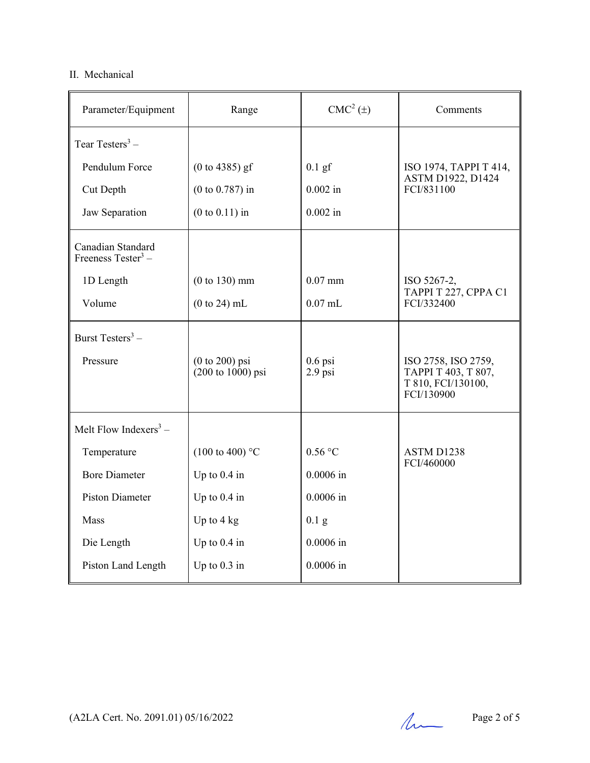# II. Mechanical

| Parameter/Equipment                                 | Range                                                    | CMC <sup>2</sup> (±)   | Comments                                                                       |
|-----------------------------------------------------|----------------------------------------------------------|------------------------|--------------------------------------------------------------------------------|
| Tear Testers $3 -$                                  |                                                          |                        |                                                                                |
| Pendulum Force                                      | $(0 to 4385)$ gf                                         | $0.1$ gf               | ISO 1974, TAPPI T 414,<br><b>ASTM D1922, D1424</b><br>FCI/831100               |
| Cut Depth                                           | $(0 to 0.787)$ in                                        | $0.002$ in             |                                                                                |
| Jaw Separation                                      | $(0 to 0.11)$ in                                         | $0.002$ in             |                                                                                |
| Canadian Standard<br>Freeness Tester <sup>3</sup> – |                                                          |                        |                                                                                |
| 1D Length                                           | $(0 to 130)$ mm                                          | $0.07$ mm              | ISO 5267-2,                                                                    |
| Volume                                              | $(0 to 24)$ mL                                           | $0.07$ mL              | TAPPI T 227, CPPA C1<br>FCI/332400                                             |
| Burst Testers <sup>3</sup> –                        |                                                          |                        |                                                                                |
| Pressure                                            | $(0 to 200)$ psi<br>$(200 \text{ to } 1000) \text{ psi}$ | $0.6$ psi<br>$2.9$ psi | ISO 2758, ISO 2759,<br>ТАРРІ Т 403, Т 807,<br>T 810, FCI/130100,<br>FCI/130900 |
| Melt Flow Indexers <sup>3</sup> –                   |                                                          |                        |                                                                                |
| Temperature                                         | $(100 \text{ to } 400)$ °C                               | $0.56$ °C              | ASTM D1238                                                                     |
| <b>Bore Diameter</b>                                | Up to $0.4$ in                                           | $0.0006$ in            | FCI/460000                                                                     |
| <b>Piston Diameter</b>                              | Up to 0.4 in                                             | $0.0006$ in            |                                                                                |
| Mass                                                | Up to $4 \text{ kg}$                                     | $0.1\text{ g}$         |                                                                                |
| Die Length                                          | Up to $0.4$ in                                           | $0.0006$ in            |                                                                                |
| Piston Land Length                                  | Up to $0.3$ in                                           | $0.0006$ in            |                                                                                |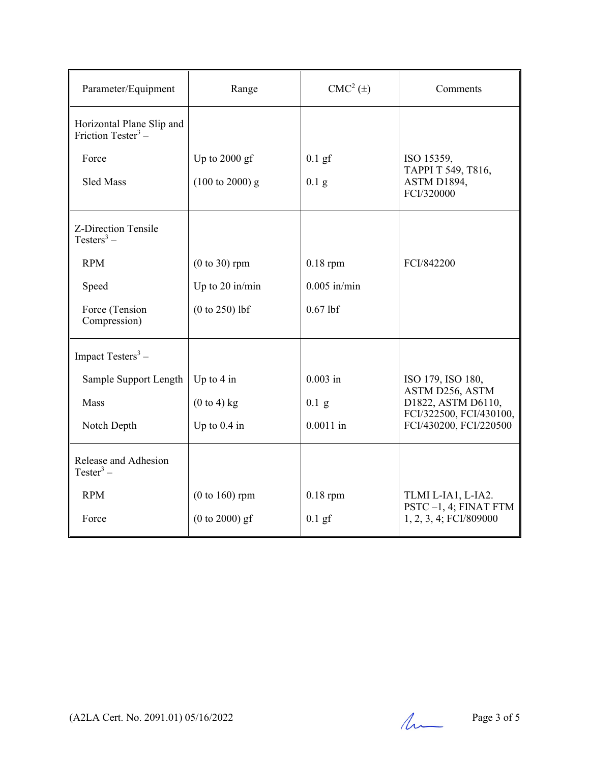| Parameter/Equipment                                         | Range                      | $CMC2(\pm)$    | Comments                                                                                   |
|-------------------------------------------------------------|----------------------------|----------------|--------------------------------------------------------------------------------------------|
| Horizontal Plane Slip and<br>Friction Tester <sup>3</sup> – |                            |                |                                                                                            |
| Force                                                       | Up to $2000$ gf            | $0.1$ gf       | ISO 15359,                                                                                 |
| Sled Mass                                                   | $(100 \text{ to } 2000)$ g | $0.1\text{ g}$ | ТАРРІ Т 549, Т816,<br>ASTM D1894,<br>FCI/320000                                            |
| Z-Direction Tensile<br>Testers <sup>3</sup> –               |                            |                |                                                                                            |
| <b>RPM</b>                                                  | $(0 to 30)$ rpm            | $0.18$ rpm     | FCI/842200                                                                                 |
| Speed                                                       | Up to $20$ in/min          | $0.005$ in/min |                                                                                            |
| Force (Tension<br>Compression)                              | $(0 to 250)$ lbf           | $0.67$ lbf     |                                                                                            |
| Impact Testers <sup>3</sup> -                               |                            |                |                                                                                            |
| Sample Support Length                                       | Up to $4$ in               | $0.003$ in     | ISO 179, ISO 180,                                                                          |
| Mass                                                        | $(0 to 4)$ kg              | $0.1$ g        | ASTM D256, ASTM<br>D1822, ASTM D6110,<br>FCI/322500, FCI/430100,<br>FCI/430200, FCI/220500 |
| Notch Depth                                                 | Up to $0.4$ in             | $0.0011$ in    |                                                                                            |
| Release and Adhesion<br>Tester <sup>3</sup> –               |                            |                |                                                                                            |
| <b>RPM</b>                                                  | $(0 to 160)$ rpm           | $0.18$ rpm     | TLMI L-IA1, L-IA2.<br>PSTC-1, 4; FINAT FTM                                                 |
| Force                                                       | $(0 to 2000)$ gf           | $0.1$ gf       | 1, 2, 3, 4; FCI/809000                                                                     |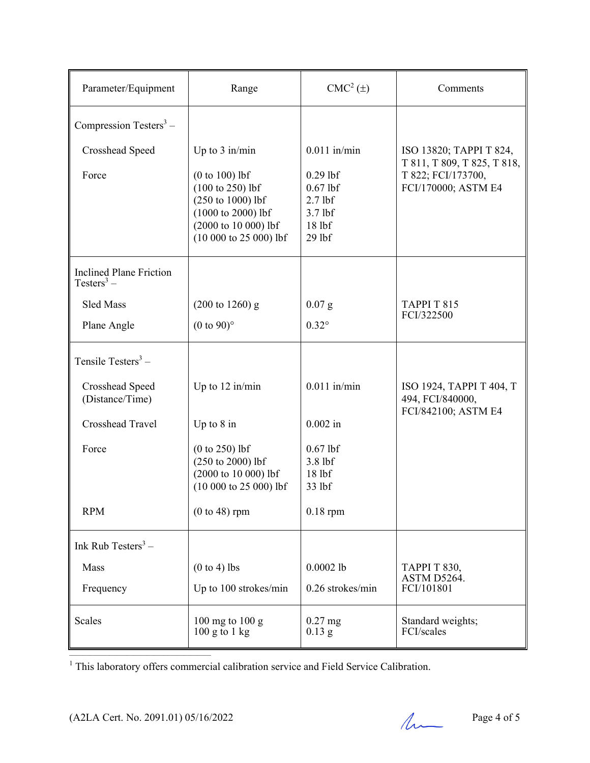| Parameter/Equipment                                      | Range                                                                                                                                                           | $CMC2(\pm)$                                                                     | Comments                                                                 |
|----------------------------------------------------------|-----------------------------------------------------------------------------------------------------------------------------------------------------------------|---------------------------------------------------------------------------------|--------------------------------------------------------------------------|
| Compression Testers <sup>3</sup> –                       |                                                                                                                                                                 |                                                                                 |                                                                          |
| <b>Crosshead Speed</b>                                   | Up to $3$ in/min                                                                                                                                                | $0.011$ in/min                                                                  | ISO 13820; TAPPI T 824,                                                  |
| Force                                                    | $(0 to 100)$ lbf<br>$(100 \text{ to } 250)$ lbf<br>$(250 \text{ to } 1000) \text{ lbf}$<br>(1000 to 2000) lbf<br>(2000 to 10 000) lbf<br>$(10000 to 25000)$ lbf | $0.29$ lbf<br>$0.67$ lbf<br>$2.7$ lbf<br>$3.7$ lbf<br>18 <sub>1</sub><br>29 lbf | T 811, T 809, T 825, T 818,<br>T 822; FCI/173700,<br>FCI/170000; ASTM E4 |
| <b>Inclined Plane Friction</b><br>Testers <sup>3</sup> – |                                                                                                                                                                 |                                                                                 |                                                                          |
| <b>Sled Mass</b>                                         | $(200 \text{ to } 1260)$ g                                                                                                                                      | $0.07$ g                                                                        | TAPPI T 815<br>FCI/322500                                                |
| Plane Angle                                              | $(0 \text{ to } 90)$ °                                                                                                                                          | $0.32^\circ$                                                                    |                                                                          |
| Tensile Testers $3 -$                                    |                                                                                                                                                                 |                                                                                 |                                                                          |
| Crosshead Speed<br>(Distance/Time)                       | Up to $12 \text{ in/min}$                                                                                                                                       | $0.011$ in/min                                                                  | ISO 1924, TAPPI T 404, T<br>494, FCI/840000,                             |
| Crosshead Travel                                         | Up to $8$ in                                                                                                                                                    | $0.002$ in                                                                      | FCI/842100; ASTM E4                                                      |
| Force                                                    | $(0 to 250)$ lbf<br>$(250 \text{ to } 2000)$ lbf<br>(2000 to 10 000) lbf<br>$(10\ 000\ to\ 25\ 000)$ lbf                                                        | $0.67$ lbf<br>3.8 lbf<br>18 lbf<br>33 lbf                                       |                                                                          |
| <b>RPM</b>                                               | $(0 to 48)$ rpm                                                                                                                                                 | $0.18$ rpm                                                                      |                                                                          |
| Ink Rub Testers <sup>3</sup> –                           |                                                                                                                                                                 |                                                                                 |                                                                          |
| Mass                                                     | $(0 to 4)$ lbs                                                                                                                                                  | $0.0002$ lb                                                                     | ТАРРІ Т 830,<br>ASTM D5264.                                              |
| Frequency                                                | Up to 100 strokes/min                                                                                                                                           | 0.26 strokes/min                                                                | FCI/101801                                                               |
| <b>Scales</b>                                            | 100 mg to 100 g<br>$100$ g to $1$ kg                                                                                                                            | $0.27$ mg<br>$0.13$ g                                                           | Standard weights;<br>FCI/scales                                          |

<sup>1</sup> This laboratory offers commercial calibration service and Field Service Calibration.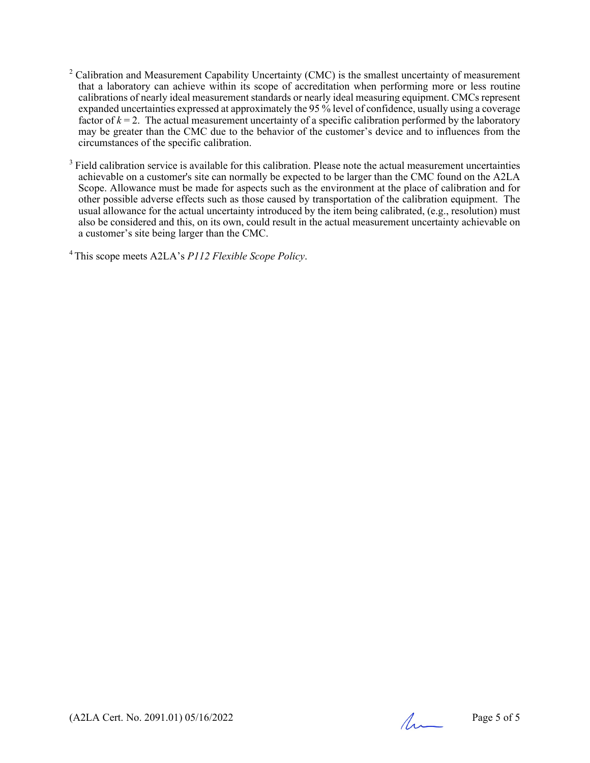- $2$  Calibration and Measurement Capability Uncertainty (CMC) is the smallest uncertainty of measurement that a laboratory can achieve within its scope of accreditation when performing more or less routine calibrations of nearly ideal measurement standards or nearly ideal measuring equipment. CMCs represent expanded uncertainties expressed at approximately the 95 % level of confidence, usually using a coverage factor of  $k = 2$ . The actual measurement uncertainty of a specific calibration performed by the laboratory may be greater than the CMC due to the behavior of the customer's device and to influences from the circumstances of the specific calibration.
- $3$  Field calibration service is available for this calibration. Please note the actual measurement uncertainties achievable on a customer's site can normally be expected to be larger than the CMC found on the A2LA Scope. Allowance must be made for aspects such as the environment at the place of calibration and for other possible adverse effects such as those caused by transportation of the calibration equipment. The usual allowance for the actual uncertainty introduced by the item being calibrated, (e.g., resolution) must also be considered and this, on its own, could result in the actual measurement uncertainty achievable on a customer's site being larger than the CMC.

4 This scope meets A2LA's *P112 Flexible Scope Policy*.